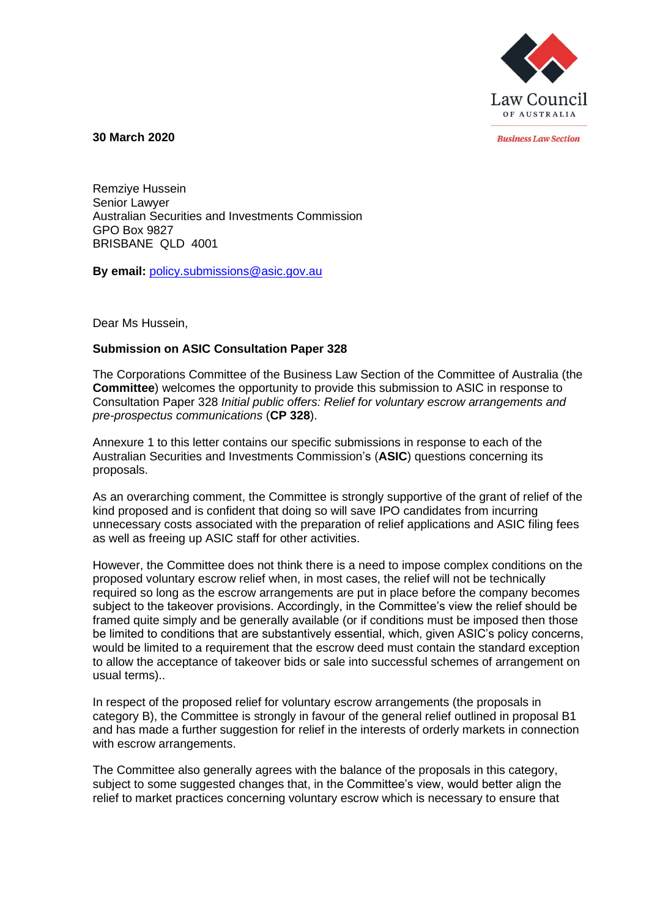

**30 March 2020**

**Business Law Section** 

Remziye Hussein Senior Lawyer Australian Securities and Investments Commission GPO Box 9827 BRISBANE QLD 4001

**By email:** [policy.submissions@asic.gov.au](mailto:policy.submissions@asic.gov.au)

Dear Ms Hussein,

## **Submission on ASIC Consultation Paper 328**

The Corporations Committee of the Business Law Section of the Committee of Australia (the **Committee**) welcomes the opportunity to provide this submission to ASIC in response to Consultation Paper 328 *Initial public offers: Relief for voluntary escrow arrangements and pre-prospectus communications* (**CP 328**).

Annexure 1 to this letter contains our specific submissions in response to each of the Australian Securities and Investments Commission's (**ASIC**) questions concerning its proposals.

As an overarching comment, the Committee is strongly supportive of the grant of relief of the kind proposed and is confident that doing so will save IPO candidates from incurring unnecessary costs associated with the preparation of relief applications and ASIC filing fees as well as freeing up ASIC staff for other activities.

However, the Committee does not think there is a need to impose complex conditions on the proposed voluntary escrow relief when, in most cases, the relief will not be technically required so long as the escrow arrangements are put in place before the company becomes subject to the takeover provisions. Accordingly, in the Committee's view the relief should be framed quite simply and be generally available (or if conditions must be imposed then those be limited to conditions that are substantively essential, which, given ASIC's policy concerns, would be limited to a requirement that the escrow deed must contain the standard exception to allow the acceptance of takeover bids or sale into successful schemes of arrangement on usual terms)..

In respect of the proposed relief for voluntary escrow arrangements (the proposals in category B), the Committee is strongly in favour of the general relief outlined in proposal B1 and has made a further suggestion for relief in the interests of orderly markets in connection with escrow arrangements.

The Committee also generally agrees with the balance of the proposals in this category, subject to some suggested changes that, in the Committee's view, would better align the relief to market practices concerning voluntary escrow which is necessary to ensure that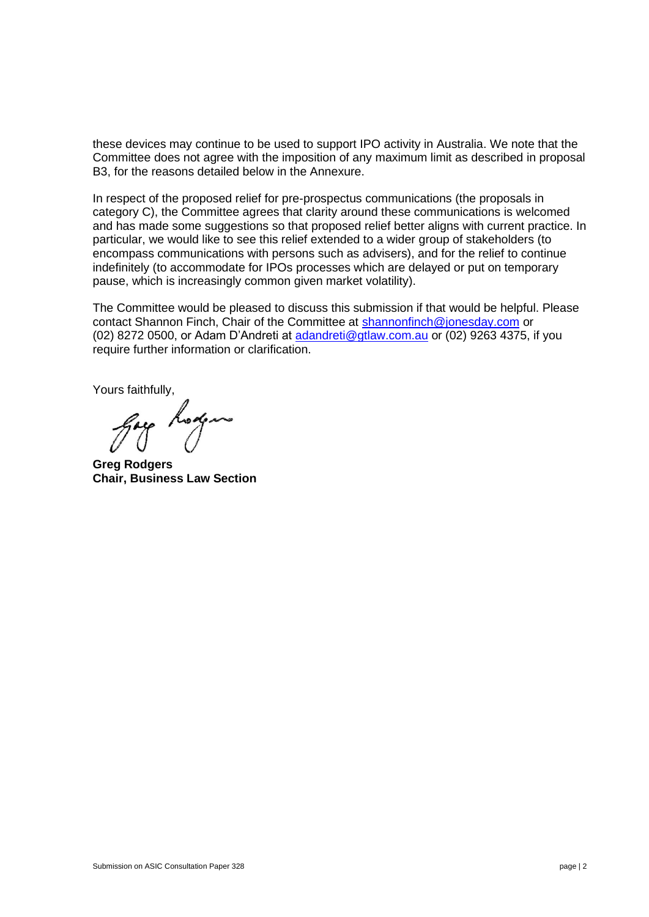these devices may continue to be used to support IPO activity in Australia. We note that the Committee does not agree with the imposition of any maximum limit as described in proposal B3, for the reasons detailed below in the Annexure.

In respect of the proposed relief for pre-prospectus communications (the proposals in category C), the Committee agrees that clarity around these communications is welcomed and has made some suggestions so that proposed relief better aligns with current practice. In particular, we would like to see this relief extended to a wider group of stakeholders (to encompass communications with persons such as advisers), and for the relief to continue indefinitely (to accommodate for IPOs processes which are delayed or put on temporary pause, which is increasingly common given market volatility).

The Committee would be pleased to discuss this submission if that would be helpful. Please contact Shannon Finch, Chair of the Committee at [shannonfinch@jonesday.com](mailto:shannonfinch@jonesday.com) or (02) 8272 0500, or Adam D'Andreti at [adandreti@gtlaw.com.au](mailto:adandreti@gtlaw.com.au) or (02) 9263 4375, if you require further information or clarification.

Yours faithfully,

**Greg Rodgers Chair, Business Law Section**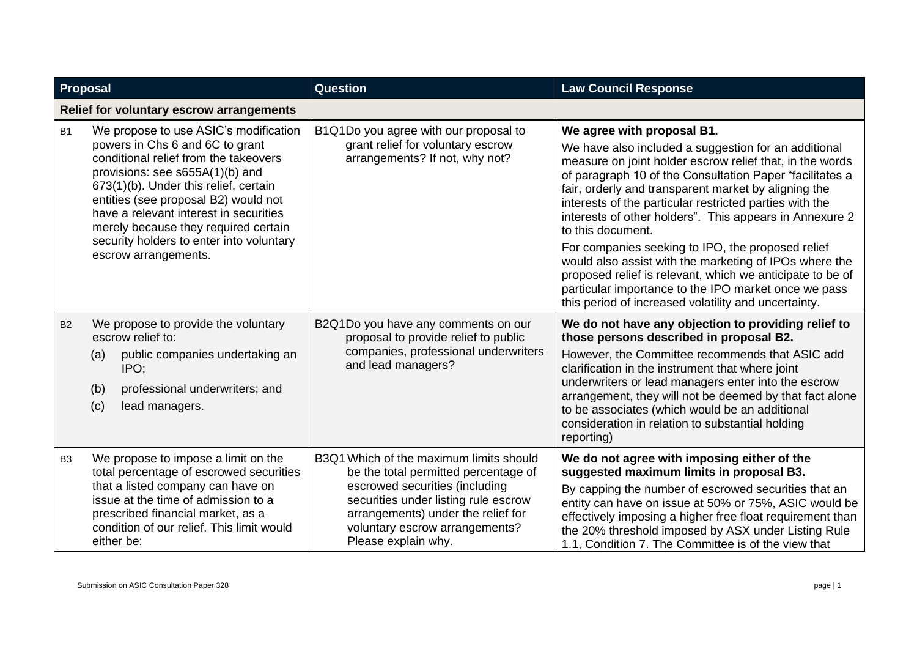| <b>Proposal</b> |                                                                                                                                                                                                                                                                                                                                                                                             | Question                                                                                                                                                                                                                                                 | <b>Law Council Response</b>                                                                                                                                                                                                                                                                                                                                                                                                                                                                                                                                                                                                                                                                               |
|-----------------|---------------------------------------------------------------------------------------------------------------------------------------------------------------------------------------------------------------------------------------------------------------------------------------------------------------------------------------------------------------------------------------------|----------------------------------------------------------------------------------------------------------------------------------------------------------------------------------------------------------------------------------------------------------|-----------------------------------------------------------------------------------------------------------------------------------------------------------------------------------------------------------------------------------------------------------------------------------------------------------------------------------------------------------------------------------------------------------------------------------------------------------------------------------------------------------------------------------------------------------------------------------------------------------------------------------------------------------------------------------------------------------|
|                 | <b>Relief for voluntary escrow arrangements</b>                                                                                                                                                                                                                                                                                                                                             |                                                                                                                                                                                                                                                          |                                                                                                                                                                                                                                                                                                                                                                                                                                                                                                                                                                                                                                                                                                           |
| <b>B1</b>       | We propose to use ASIC's modification<br>powers in Chs 6 and 6C to grant<br>conditional relief from the takeovers<br>provisions: see s655A(1)(b) and<br>673(1)(b). Under this relief, certain<br>entities (see proposal B2) would not<br>have a relevant interest in securities<br>merely because they required certain<br>security holders to enter into voluntary<br>escrow arrangements. | B1Q1Do you agree with our proposal to<br>grant relief for voluntary escrow<br>arrangements? If not, why not?                                                                                                                                             | We agree with proposal B1.<br>We have also included a suggestion for an additional<br>measure on joint holder escrow relief that, in the words<br>of paragraph 10 of the Consultation Paper "facilitates a<br>fair, orderly and transparent market by aligning the<br>interests of the particular restricted parties with the<br>interests of other holders". This appears in Annexure 2<br>to this document.<br>For companies seeking to IPO, the proposed relief<br>would also assist with the marketing of IPOs where the<br>proposed relief is relevant, which we anticipate to be of<br>particular importance to the IPO market once we pass<br>this period of increased volatility and uncertainty. |
| <b>B2</b>       | We propose to provide the voluntary<br>escrow relief to:<br>public companies undertaking an<br>(a)<br>IPO:<br>professional underwriters; and<br>(b)<br>(c)<br>lead managers.                                                                                                                                                                                                                | B2Q1Do you have any comments on our<br>proposal to provide relief to public<br>companies, professional underwriters<br>and lead managers?                                                                                                                | We do not have any objection to providing relief to<br>those persons described in proposal B2.<br>However, the Committee recommends that ASIC add<br>clarification in the instrument that where joint<br>underwriters or lead managers enter into the escrow<br>arrangement, they will not be deemed by that fact alone<br>to be associates (which would be an additional<br>consideration in relation to substantial holding<br>reporting)                                                                                                                                                                                                                                                               |
| B <sub>3</sub>  | We propose to impose a limit on the<br>total percentage of escrowed securities<br>that a listed company can have on<br>issue at the time of admission to a<br>prescribed financial market, as a<br>condition of our relief. This limit would<br>either be:                                                                                                                                  | B3Q1 Which of the maximum limits should<br>be the total permitted percentage of<br>escrowed securities (including<br>securities under listing rule escrow<br>arrangements) under the relief for<br>voluntary escrow arrangements?<br>Please explain why. | We do not agree with imposing either of the<br>suggested maximum limits in proposal B3.<br>By capping the number of escrowed securities that an<br>entity can have on issue at 50% or 75%, ASIC would be<br>effectively imposing a higher free float requirement than<br>the 20% threshold imposed by ASX under Listing Rule<br>1.1, Condition 7. The Committee is of the view that                                                                                                                                                                                                                                                                                                                       |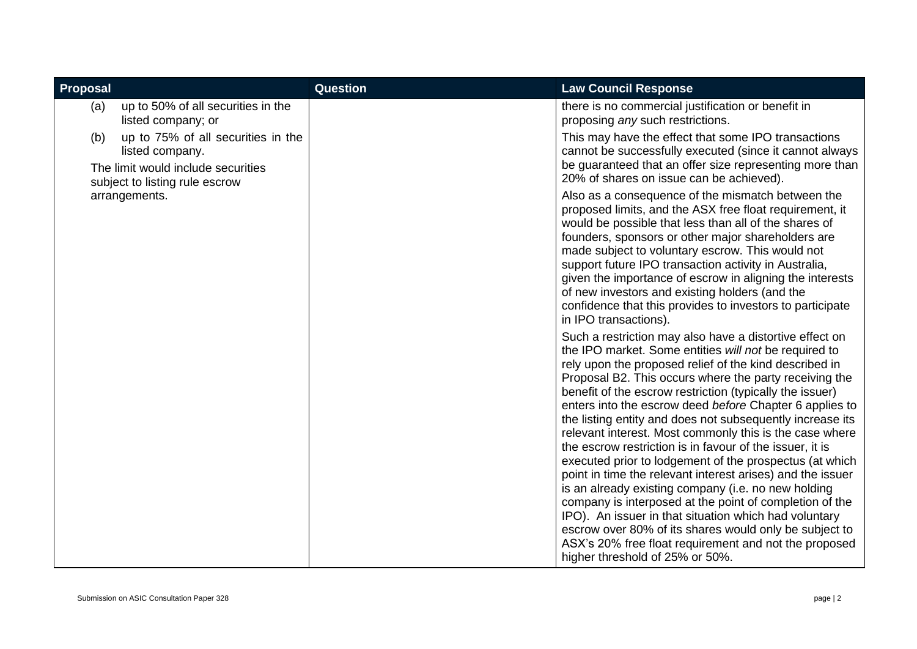| Proposal                                                                                                        |                                    | <b>Question</b> | <b>Law Council Response</b>                                                                                                                                                                                                                                                                                                                                                                                                                                                                                                                                                                                                                                                                                                                                                                                                                                                                                   |
|-----------------------------------------------------------------------------------------------------------------|------------------------------------|-----------------|---------------------------------------------------------------------------------------------------------------------------------------------------------------------------------------------------------------------------------------------------------------------------------------------------------------------------------------------------------------------------------------------------------------------------------------------------------------------------------------------------------------------------------------------------------------------------------------------------------------------------------------------------------------------------------------------------------------------------------------------------------------------------------------------------------------------------------------------------------------------------------------------------------------|
| (a)<br>listed company; or                                                                                       | up to 50% of all securities in the |                 | there is no commercial justification or benefit in<br>proposing any such restrictions.                                                                                                                                                                                                                                                                                                                                                                                                                                                                                                                                                                                                                                                                                                                                                                                                                        |
| (b)<br>listed company.<br>The limit would include securities<br>subject to listing rule escrow<br>arrangements. | up to 75% of all securities in the |                 | This may have the effect that some IPO transactions<br>cannot be successfully executed (since it cannot always<br>be guaranteed that an offer size representing more than<br>20% of shares on issue can be achieved).<br>Also as a consequence of the mismatch between the<br>proposed limits, and the ASX free float requirement, it<br>would be possible that less than all of the shares of<br>founders, sponsors or other major shareholders are<br>made subject to voluntary escrow. This would not<br>support future IPO transaction activity in Australia,                                                                                                                                                                                                                                                                                                                                             |
|                                                                                                                 |                                    |                 | given the importance of escrow in aligning the interests<br>of new investors and existing holders (and the<br>confidence that this provides to investors to participate<br>in IPO transactions).                                                                                                                                                                                                                                                                                                                                                                                                                                                                                                                                                                                                                                                                                                              |
|                                                                                                                 |                                    |                 | Such a restriction may also have a distortive effect on<br>the IPO market. Some entities will not be required to<br>rely upon the proposed relief of the kind described in<br>Proposal B2. This occurs where the party receiving the<br>benefit of the escrow restriction (typically the issuer)<br>enters into the escrow deed before Chapter 6 applies to<br>the listing entity and does not subsequently increase its<br>relevant interest. Most commonly this is the case where<br>the escrow restriction is in favour of the issuer, it is<br>executed prior to lodgement of the prospectus (at which<br>point in time the relevant interest arises) and the issuer<br>is an already existing company (i.e. no new holding<br>company is interposed at the point of completion of the<br>IPO). An issuer in that situation which had voluntary<br>escrow over 80% of its shares would only be subject to |
|                                                                                                                 |                                    |                 | ASX's 20% free float requirement and not the proposed<br>higher threshold of 25% or 50%.                                                                                                                                                                                                                                                                                                                                                                                                                                                                                                                                                                                                                                                                                                                                                                                                                      |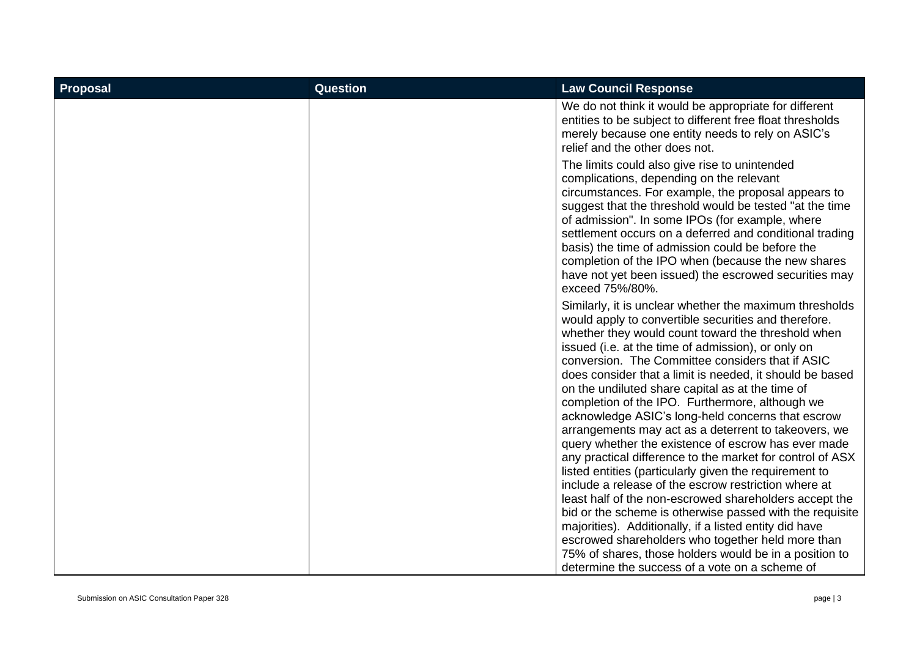| <b>Proposal</b> | <b>Question</b> | <b>Law Council Response</b>                                                                                                                                                                                                                                                                                                                                                                                                                                                                                                                                                                                                                                                                                                                                                                                                                                                                                                                                                                                                                |
|-----------------|-----------------|--------------------------------------------------------------------------------------------------------------------------------------------------------------------------------------------------------------------------------------------------------------------------------------------------------------------------------------------------------------------------------------------------------------------------------------------------------------------------------------------------------------------------------------------------------------------------------------------------------------------------------------------------------------------------------------------------------------------------------------------------------------------------------------------------------------------------------------------------------------------------------------------------------------------------------------------------------------------------------------------------------------------------------------------|
|                 |                 | We do not think it would be appropriate for different<br>entities to be subject to different free float thresholds<br>merely because one entity needs to rely on ASIC's<br>relief and the other does not.                                                                                                                                                                                                                                                                                                                                                                                                                                                                                                                                                                                                                                                                                                                                                                                                                                  |
|                 |                 | The limits could also give rise to unintended<br>complications, depending on the relevant<br>circumstances. For example, the proposal appears to<br>suggest that the threshold would be tested "at the time"<br>of admission". In some IPOs (for example, where<br>settlement occurs on a deferred and conditional trading<br>basis) the time of admission could be before the<br>completion of the IPO when (because the new shares<br>have not yet been issued) the escrowed securities may<br>exceed 75%/80%.                                                                                                                                                                                                                                                                                                                                                                                                                                                                                                                           |
|                 |                 | Similarly, it is unclear whether the maximum thresholds<br>would apply to convertible securities and therefore.<br>whether they would count toward the threshold when<br>issued (i.e. at the time of admission), or only on<br>conversion. The Committee considers that if ASIC<br>does consider that a limit is needed, it should be based<br>on the undiluted share capital as at the time of<br>completion of the IPO. Furthermore, although we<br>acknowledge ASIC's long-held concerns that escrow<br>arrangements may act as a deterrent to takeovers, we<br>query whether the existence of escrow has ever made<br>any practical difference to the market for control of ASX<br>listed entities (particularly given the requirement to<br>include a release of the escrow restriction where at<br>least half of the non-escrowed shareholders accept the<br>bid or the scheme is otherwise passed with the requisite<br>majorities). Additionally, if a listed entity did have<br>escrowed shareholders who together held more than |
|                 |                 | 75% of shares, those holders would be in a position to<br>determine the success of a vote on a scheme of                                                                                                                                                                                                                                                                                                                                                                                                                                                                                                                                                                                                                                                                                                                                                                                                                                                                                                                                   |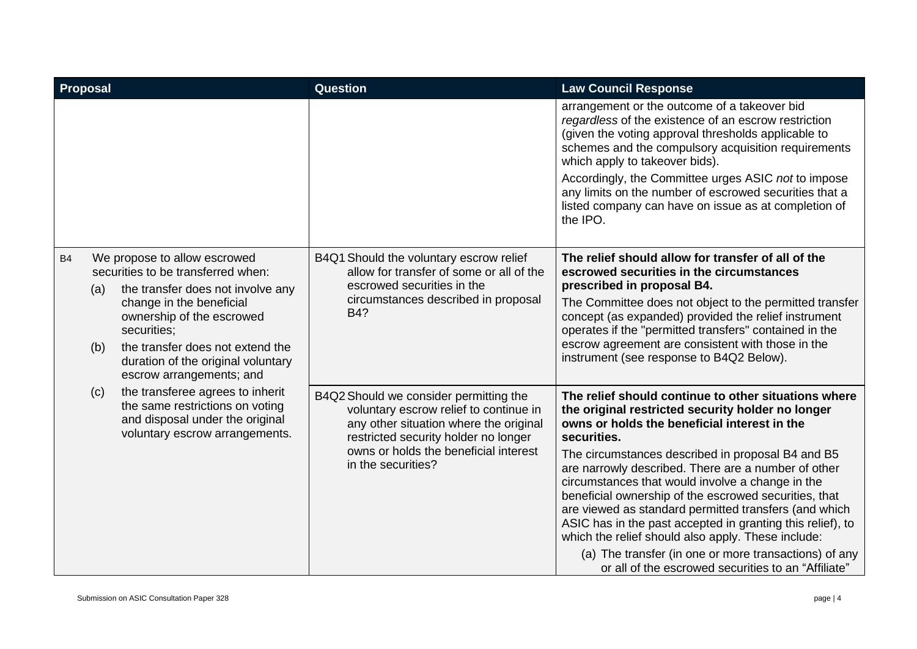| Proposal  |            |                                                                                                                                                                                                                                                                                                                                                                                                                                                          | <b>Question</b>                                                                                                                                                                                                                                                                                                                                                                                            | <b>Law Council Response</b>                                                                                                                                                                                                                                                                                                                                                                                                                                                                                                                                                                                                                                                                    |
|-----------|------------|----------------------------------------------------------------------------------------------------------------------------------------------------------------------------------------------------------------------------------------------------------------------------------------------------------------------------------------------------------------------------------------------------------------------------------------------------------|------------------------------------------------------------------------------------------------------------------------------------------------------------------------------------------------------------------------------------------------------------------------------------------------------------------------------------------------------------------------------------------------------------|------------------------------------------------------------------------------------------------------------------------------------------------------------------------------------------------------------------------------------------------------------------------------------------------------------------------------------------------------------------------------------------------------------------------------------------------------------------------------------------------------------------------------------------------------------------------------------------------------------------------------------------------------------------------------------------------|
|           |            |                                                                                                                                                                                                                                                                                                                                                                                                                                                          |                                                                                                                                                                                                                                                                                                                                                                                                            | arrangement or the outcome of a takeover bid<br>regardless of the existence of an escrow restriction<br>(given the voting approval thresholds applicable to<br>schemes and the compulsory acquisition requirements<br>which apply to takeover bids).<br>Accordingly, the Committee urges ASIC not to impose<br>any limits on the number of escrowed securities that a<br>listed company can have on issue as at completion of<br>the IPO.                                                                                                                                                                                                                                                      |
| <b>B4</b> | (a)<br>(b) | We propose to allow escrowed<br>B4Q1 Should the voluntary escrow relief<br>securities to be transferred when:<br>allow for transfer of some or all of the<br>escrowed securities in the<br>the transfer does not involve any<br>circumstances described in proposal<br>change in the beneficial<br>B4?<br>ownership of the escrowed<br>securities:<br>the transfer does not extend the<br>duration of the original voluntary<br>escrow arrangements; and | The relief should allow for transfer of all of the<br>escrowed securities in the circumstances<br>prescribed in proposal B4.<br>The Committee does not object to the permitted transfer<br>concept (as expanded) provided the relief instrument<br>operates if the "permitted transfers" contained in the<br>escrow agreement are consistent with those in the<br>instrument (see response to B4Q2 Below). |                                                                                                                                                                                                                                                                                                                                                                                                                                                                                                                                                                                                                                                                                                |
|           | (c)        | the transferee agrees to inherit<br>the same restrictions on voting<br>and disposal under the original<br>voluntary escrow arrangements.                                                                                                                                                                                                                                                                                                                 | B4Q2 Should we consider permitting the<br>voluntary escrow relief to continue in<br>any other situation where the original<br>restricted security holder no longer<br>owns or holds the beneficial interest<br>in the securities?                                                                                                                                                                          | The relief should continue to other situations where<br>the original restricted security holder no longer<br>owns or holds the beneficial interest in the<br>securities.<br>The circumstances described in proposal B4 and B5<br>are narrowly described. There are a number of other<br>circumstances that would involve a change in the<br>beneficial ownership of the escrowed securities, that<br>are viewed as standard permitted transfers (and which<br>ASIC has in the past accepted in granting this relief), to<br>which the relief should also apply. These include:<br>(a) The transfer (in one or more transactions) of any<br>or all of the escrowed securities to an "Affiliate" |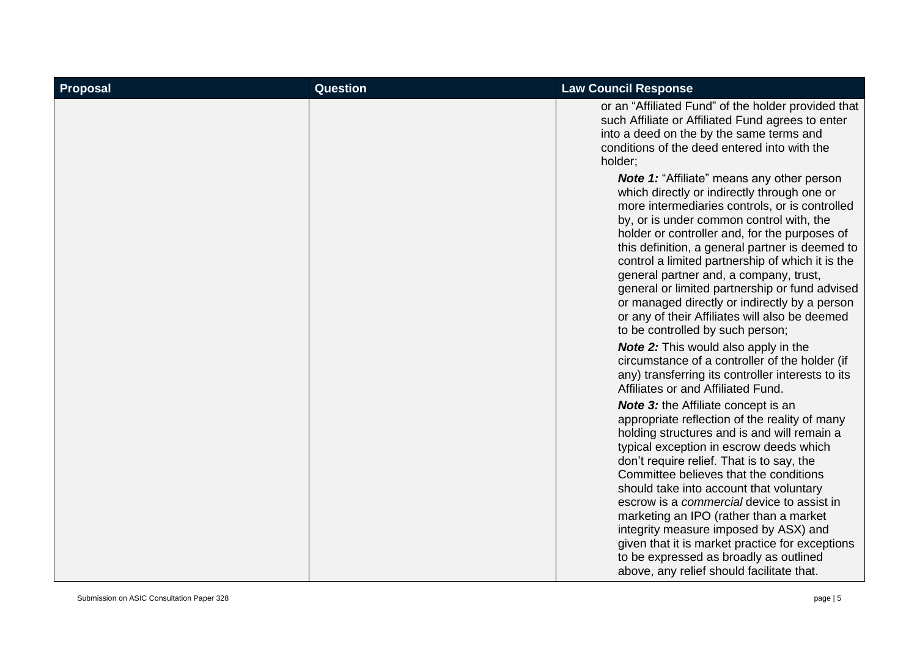| Proposal | Question | <b>Law Council Response</b>                                                                                                                                                                                                                                                                                                                                                                                                                                                                                                                                                                        |
|----------|----------|----------------------------------------------------------------------------------------------------------------------------------------------------------------------------------------------------------------------------------------------------------------------------------------------------------------------------------------------------------------------------------------------------------------------------------------------------------------------------------------------------------------------------------------------------------------------------------------------------|
|          |          | or an "Affiliated Fund" of the holder provided that<br>such Affiliate or Affiliated Fund agrees to enter<br>into a deed on the by the same terms and<br>conditions of the deed entered into with the<br>holder;                                                                                                                                                                                                                                                                                                                                                                                    |
|          |          | <b>Note 1: "Affiliate" means any other person</b><br>which directly or indirectly through one or<br>more intermediaries controls, or is controlled<br>by, or is under common control with, the<br>holder or controller and, for the purposes of<br>this definition, a general partner is deemed to<br>control a limited partnership of which it is the<br>general partner and, a company, trust,<br>general or limited partnership or fund advised<br>or managed directly or indirectly by a person<br>or any of their Affiliates will also be deemed<br>to be controlled by such person;          |
|          |          | <b>Note 2:</b> This would also apply in the<br>circumstance of a controller of the holder (if<br>any) transferring its controller interests to its<br>Affiliates or and Affiliated Fund.                                                                                                                                                                                                                                                                                                                                                                                                           |
|          |          | <b>Note 3:</b> the Affiliate concept is an<br>appropriate reflection of the reality of many<br>holding structures and is and will remain a<br>typical exception in escrow deeds which<br>don't require relief. That is to say, the<br>Committee believes that the conditions<br>should take into account that voluntary<br>escrow is a commercial device to assist in<br>marketing an IPO (rather than a market<br>integrity measure imposed by ASX) and<br>given that it is market practice for exceptions<br>to be expressed as broadly as outlined<br>above, any relief should facilitate that. |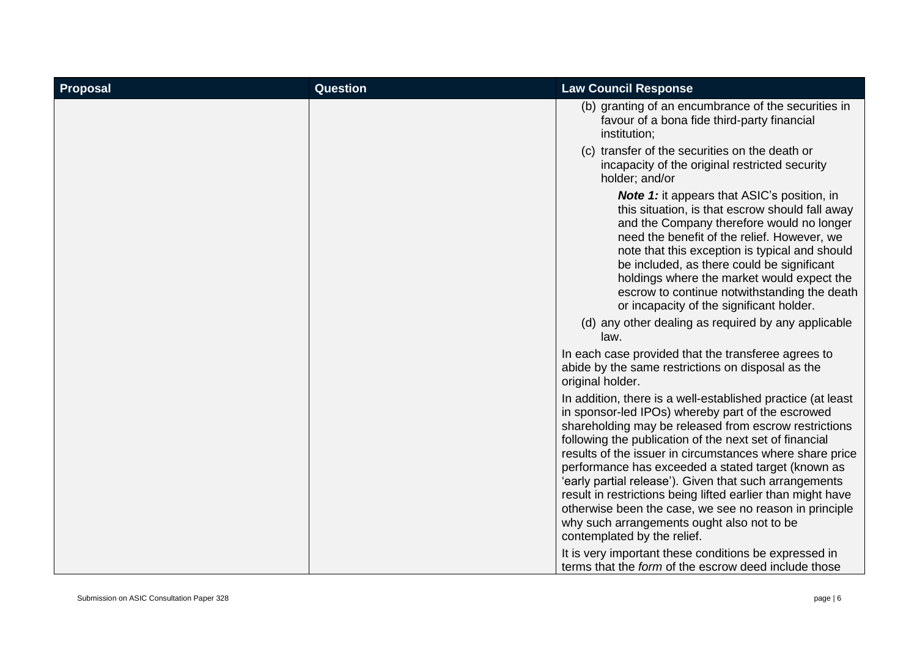| <b>Proposal</b> | <b>Question</b> | <b>Law Council Response</b>                                                                                                                                                                                                                                                                                                                                                                                                                                                                                                                                                                                           |
|-----------------|-----------------|-----------------------------------------------------------------------------------------------------------------------------------------------------------------------------------------------------------------------------------------------------------------------------------------------------------------------------------------------------------------------------------------------------------------------------------------------------------------------------------------------------------------------------------------------------------------------------------------------------------------------|
|                 |                 | (b) granting of an encumbrance of the securities in<br>favour of a bona fide third-party financial<br>institution;                                                                                                                                                                                                                                                                                                                                                                                                                                                                                                    |
|                 |                 | (c) transfer of the securities on the death or<br>incapacity of the original restricted security<br>holder; and/or                                                                                                                                                                                                                                                                                                                                                                                                                                                                                                    |
|                 |                 | <b>Note 1:</b> it appears that ASIC's position, in<br>this situation, is that escrow should fall away<br>and the Company therefore would no longer<br>need the benefit of the relief. However, we<br>note that this exception is typical and should<br>be included, as there could be significant<br>holdings where the market would expect the<br>escrow to continue notwithstanding the death<br>or incapacity of the significant holder.<br>(d) any other dealing as required by any applicable<br>law.<br>In each case provided that the transferee agrees to                                                     |
|                 |                 | abide by the same restrictions on disposal as the<br>original holder.                                                                                                                                                                                                                                                                                                                                                                                                                                                                                                                                                 |
|                 |                 | In addition, there is a well-established practice (at least<br>in sponsor-led IPOs) whereby part of the escrowed<br>shareholding may be released from escrow restrictions<br>following the publication of the next set of financial<br>results of the issuer in circumstances where share price<br>performance has exceeded a stated target (known as<br>'early partial release'). Given that such arrangements<br>result in restrictions being lifted earlier than might have<br>otherwise been the case, we see no reason in principle<br>why such arrangements ought also not to be<br>contemplated by the relief. |
|                 |                 | It is very important these conditions be expressed in<br>terms that the form of the escrow deed include those                                                                                                                                                                                                                                                                                                                                                                                                                                                                                                         |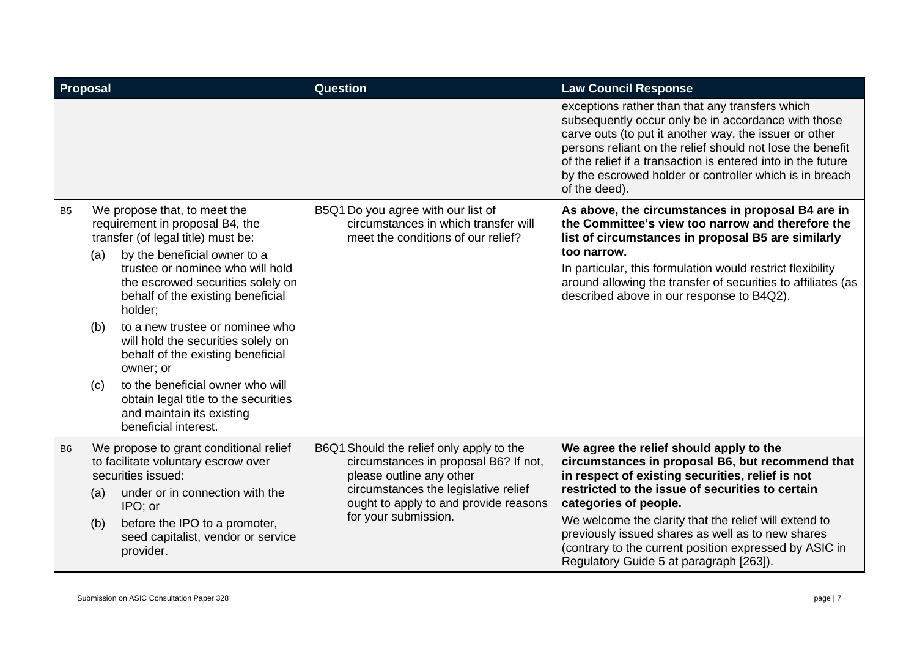| <b>Proposal</b> |                   |                                                                                                                                                                                                                                                                                                                                                                                                                                                                                                                            | Question                                                                                                                                                                                                               | <b>Law Council Response</b>                                                                                                                                                                                                                                                                                                                                                                                                                     |
|-----------------|-------------------|----------------------------------------------------------------------------------------------------------------------------------------------------------------------------------------------------------------------------------------------------------------------------------------------------------------------------------------------------------------------------------------------------------------------------------------------------------------------------------------------------------------------------|------------------------------------------------------------------------------------------------------------------------------------------------------------------------------------------------------------------------|-------------------------------------------------------------------------------------------------------------------------------------------------------------------------------------------------------------------------------------------------------------------------------------------------------------------------------------------------------------------------------------------------------------------------------------------------|
|                 |                   |                                                                                                                                                                                                                                                                                                                                                                                                                                                                                                                            |                                                                                                                                                                                                                        | exceptions rather than that any transfers which<br>subsequently occur only be in accordance with those<br>carve outs (to put it another way, the issuer or other<br>persons reliant on the relief should not lose the benefit<br>of the relief if a transaction is entered into in the future<br>by the escrowed holder or controller which is in breach<br>of the deed).                                                                       |
| B <sub>5</sub>  | (a)<br>(b)<br>(c) | We propose that, to meet the<br>requirement in proposal B4, the<br>transfer (of legal title) must be:<br>by the beneficial owner to a<br>trustee or nominee who will hold<br>the escrowed securities solely on<br>behalf of the existing beneficial<br>holder;<br>to a new trustee or nominee who<br>will hold the securities solely on<br>behalf of the existing beneficial<br>owner; or<br>to the beneficial owner who will<br>obtain legal title to the securities<br>and maintain its existing<br>beneficial interest. | B5Q1 Do you agree with our list of<br>circumstances in which transfer will<br>meet the conditions of our relief?                                                                                                       | As above, the circumstances in proposal B4 are in<br>the Committee's view too narrow and therefore the<br>list of circumstances in proposal B5 are similarly<br>too narrow.<br>In particular, this formulation would restrict flexibility<br>around allowing the transfer of securities to affiliates (as<br>described above in our response to B4Q2).                                                                                          |
| B <sub>6</sub>  | (a)<br>(b)        | We propose to grant conditional relief<br>to facilitate voluntary escrow over<br>securities issued:<br>under or in connection with the<br>IPO; or<br>before the IPO to a promoter,<br>seed capitalist, vendor or service<br>provider.                                                                                                                                                                                                                                                                                      | B6Q1 Should the relief only apply to the<br>circumstances in proposal B6? If not,<br>please outline any other<br>circumstances the legislative relief<br>ought to apply to and provide reasons<br>for your submission. | We agree the relief should apply to the<br>circumstances in proposal B6, but recommend that<br>in respect of existing securities, relief is not<br>restricted to the issue of securities to certain<br>categories of people.<br>We welcome the clarity that the relief will extend to<br>previously issued shares as well as to new shares<br>(contrary to the current position expressed by ASIC in<br>Regulatory Guide 5 at paragraph [263]). |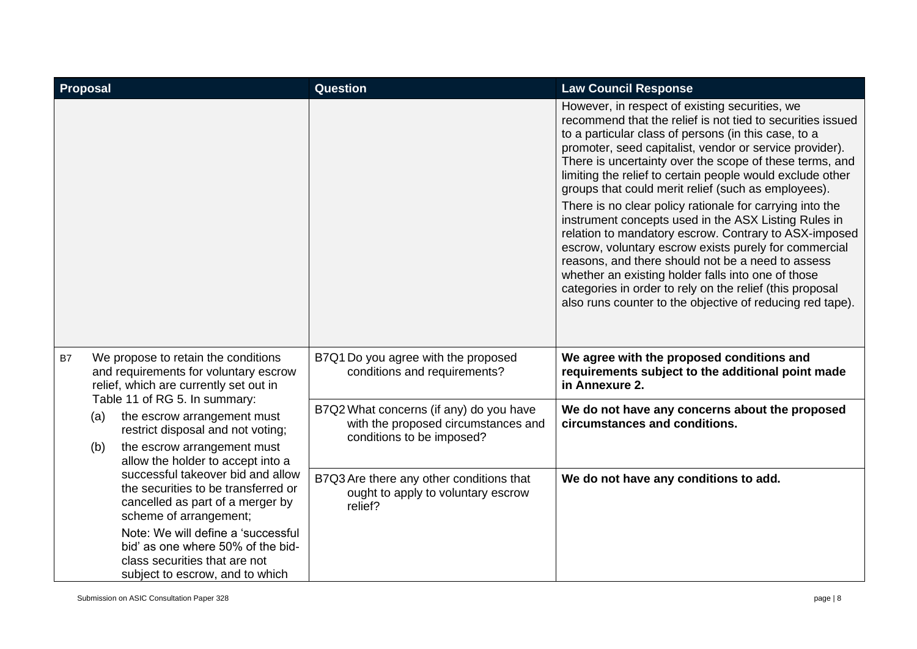| <b>Proposal</b>  |                                                                                                                                                                                                                                                                                                                 | <b>Question</b>                                                                                             | <b>Law Council Response</b>                                                                                                                                                                                                                                                                                                                                                                                                                                                                                                                                                                                                                                                                                                                                                                                                                                                              |
|------------------|-----------------------------------------------------------------------------------------------------------------------------------------------------------------------------------------------------------------------------------------------------------------------------------------------------------------|-------------------------------------------------------------------------------------------------------------|------------------------------------------------------------------------------------------------------------------------------------------------------------------------------------------------------------------------------------------------------------------------------------------------------------------------------------------------------------------------------------------------------------------------------------------------------------------------------------------------------------------------------------------------------------------------------------------------------------------------------------------------------------------------------------------------------------------------------------------------------------------------------------------------------------------------------------------------------------------------------------------|
|                  |                                                                                                                                                                                                                                                                                                                 |                                                                                                             | However, in respect of existing securities, we<br>recommend that the relief is not tied to securities issued<br>to a particular class of persons (in this case, to a<br>promoter, seed capitalist, vendor or service provider).<br>There is uncertainty over the scope of these terms, and<br>limiting the relief to certain people would exclude other<br>groups that could merit relief (such as employees).<br>There is no clear policy rationale for carrying into the<br>instrument concepts used in the ASX Listing Rules in<br>relation to mandatory escrow. Contrary to ASX-imposed<br>escrow, voluntary escrow exists purely for commercial<br>reasons, and there should not be a need to assess<br>whether an existing holder falls into one of those<br>categories in order to rely on the relief (this proposal<br>also runs counter to the objective of reducing red tape). |
| B7<br>(a)<br>(b) | We propose to retain the conditions<br>and requirements for voluntary escrow<br>relief, which are currently set out in                                                                                                                                                                                          | B7Q1 Do you agree with the proposed<br>conditions and requirements?                                         | We agree with the proposed conditions and<br>requirements subject to the additional point made<br>in Annexure 2.                                                                                                                                                                                                                                                                                                                                                                                                                                                                                                                                                                                                                                                                                                                                                                         |
|                  | Table 11 of RG 5. In summary:<br>the escrow arrangement must<br>restrict disposal and not voting;<br>the escrow arrangement must<br>allow the holder to accept into a<br>successful takeover bid and allow<br>the securities to be transferred or<br>cancelled as part of a merger by<br>scheme of arrangement; | B7Q2 What concerns (if any) do you have<br>with the proposed circumstances and<br>conditions to be imposed? | We do not have any concerns about the proposed<br>circumstances and conditions.                                                                                                                                                                                                                                                                                                                                                                                                                                                                                                                                                                                                                                                                                                                                                                                                          |
|                  |                                                                                                                                                                                                                                                                                                                 | B7Q3 Are there any other conditions that<br>ought to apply to voluntary escrow<br>relief?                   | We do not have any conditions to add.                                                                                                                                                                                                                                                                                                                                                                                                                                                                                                                                                                                                                                                                                                                                                                                                                                                    |
|                  | Note: We will define a 'successful<br>bid' as one where 50% of the bid-<br>class securities that are not<br>subject to escrow, and to which                                                                                                                                                                     |                                                                                                             |                                                                                                                                                                                                                                                                                                                                                                                                                                                                                                                                                                                                                                                                                                                                                                                                                                                                                          |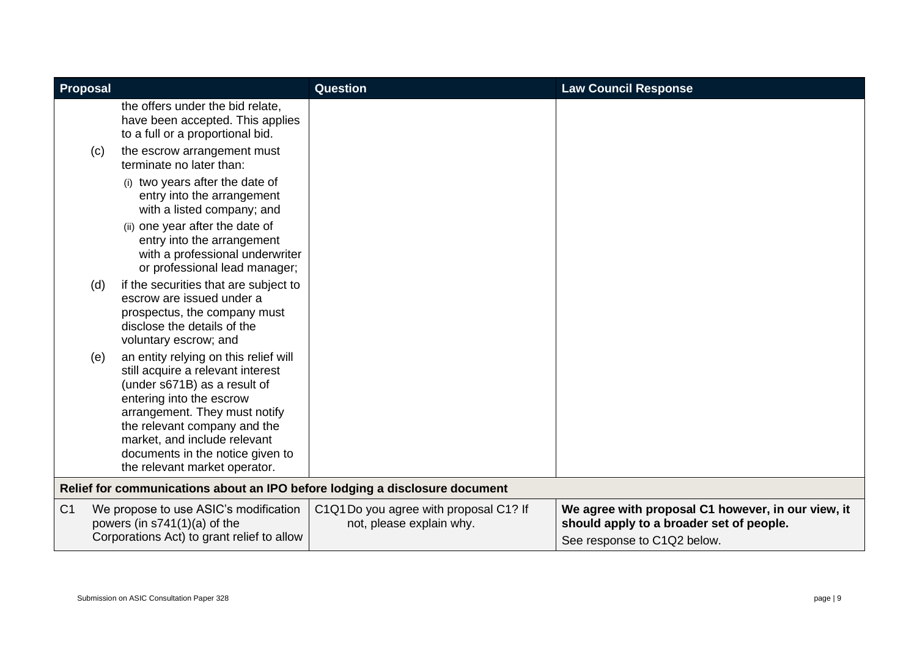| <b>Proposal</b> |                                                                                                                                                                                                                                                                                                              | <b>Question</b>                                                                                          | <b>Law Council Response</b>                                                                                                   |
|-----------------|--------------------------------------------------------------------------------------------------------------------------------------------------------------------------------------------------------------------------------------------------------------------------------------------------------------|----------------------------------------------------------------------------------------------------------|-------------------------------------------------------------------------------------------------------------------------------|
|                 | the offers under the bid relate,<br>have been accepted. This applies<br>to a full or a proportional bid.                                                                                                                                                                                                     |                                                                                                          |                                                                                                                               |
| (c)             | the escrow arrangement must<br>terminate no later than:                                                                                                                                                                                                                                                      |                                                                                                          |                                                                                                                               |
|                 | (i) two years after the date of<br>entry into the arrangement<br>with a listed company; and                                                                                                                                                                                                                  |                                                                                                          |                                                                                                                               |
|                 | (ii) one year after the date of<br>entry into the arrangement<br>with a professional underwriter<br>or professional lead manager;                                                                                                                                                                            |                                                                                                          |                                                                                                                               |
| (d)             | if the securities that are subject to<br>escrow are issued under a<br>prospectus, the company must<br>disclose the details of the<br>voluntary escrow; and                                                                                                                                                   |                                                                                                          |                                                                                                                               |
| (e)             | an entity relying on this relief will<br>still acquire a relevant interest<br>(under s671B) as a result of<br>entering into the escrow<br>arrangement. They must notify<br>the relevant company and the<br>market, and include relevant<br>documents in the notice given to<br>the relevant market operator. |                                                                                                          |                                                                                                                               |
|                 |                                                                                                                                                                                                                                                                                                              | Relief for communications about an IPO before lodging a disclosure document                              |                                                                                                                               |
| C <sub>1</sub>  | We propose to use ASIC's modification<br>powers (in $s741(1)(a)$ of the<br>Corporations Act) to grant relief to allow                                                                                                                                                                                        | C <sub>1</sub> Q <sub>1</sub> Do you agree with proposal C <sub>1</sub> ? If<br>not, please explain why. | We agree with proposal C1 however, in our view, it<br>should apply to a broader set of people.<br>See response to C1Q2 below. |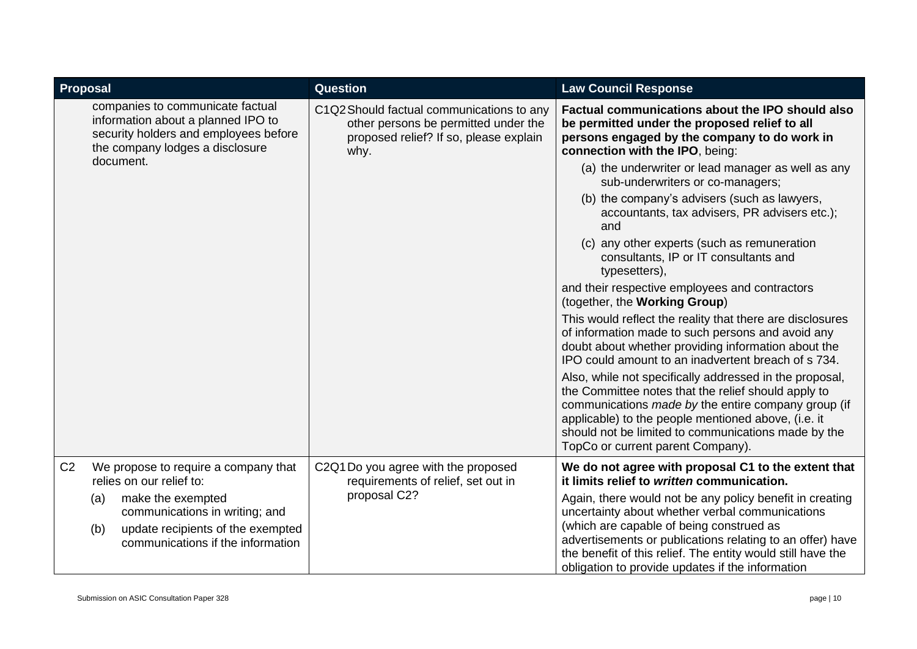| Proposal       |                                                                                                                                                    | Question                                                                                                                            | <b>Law Council Response</b>                                                                                                                                                                                                                                                                                                             |
|----------------|----------------------------------------------------------------------------------------------------------------------------------------------------|-------------------------------------------------------------------------------------------------------------------------------------|-----------------------------------------------------------------------------------------------------------------------------------------------------------------------------------------------------------------------------------------------------------------------------------------------------------------------------------------|
|                | companies to communicate factual<br>information about a planned IPO to<br>security holders and employees before<br>the company lodges a disclosure | C1Q2 Should factual communications to any<br>other persons be permitted under the<br>proposed relief? If so, please explain<br>why. | Factual communications about the IPO should also<br>be permitted under the proposed relief to all<br>persons engaged by the company to do work in<br>connection with the IPO, being:                                                                                                                                                    |
|                | document.                                                                                                                                          |                                                                                                                                     | (a) the underwriter or lead manager as well as any<br>sub-underwriters or co-managers;                                                                                                                                                                                                                                                  |
|                |                                                                                                                                                    |                                                                                                                                     | (b) the company's advisers (such as lawyers,<br>accountants, tax advisers, PR advisers etc.);<br>and                                                                                                                                                                                                                                    |
|                |                                                                                                                                                    |                                                                                                                                     | (c) any other experts (such as remuneration<br>consultants, IP or IT consultants and<br>typesetters),                                                                                                                                                                                                                                   |
|                |                                                                                                                                                    |                                                                                                                                     | and their respective employees and contractors<br>(together, the Working Group)                                                                                                                                                                                                                                                         |
|                |                                                                                                                                                    |                                                                                                                                     | This would reflect the reality that there are disclosures<br>of information made to such persons and avoid any<br>doubt about whether providing information about the<br>IPO could amount to an inadvertent breach of s 734.                                                                                                            |
|                |                                                                                                                                                    |                                                                                                                                     | Also, while not specifically addressed in the proposal,<br>the Committee notes that the relief should apply to<br>communications made by the entire company group (if<br>applicable) to the people mentioned above, (i.e. it<br>should not be limited to communications made by the<br>TopCo or current parent Company).                |
| C <sub>2</sub> | We propose to require a company that<br>relies on our relief to:                                                                                   | C2Q1 Do you agree with the proposed<br>requirements of relief, set out in                                                           | We do not agree with proposal C1 to the extent that<br>it limits relief to written communication.                                                                                                                                                                                                                                       |
|                | make the exempted<br>(a)<br>communications in writing; and<br>update recipients of the exempted<br>(b)<br>communications if the information        | proposal C2?                                                                                                                        | Again, there would not be any policy benefit in creating<br>uncertainty about whether verbal communications<br>(which are capable of being construed as<br>advertisements or publications relating to an offer) have<br>the benefit of this relief. The entity would still have the<br>obligation to provide updates if the information |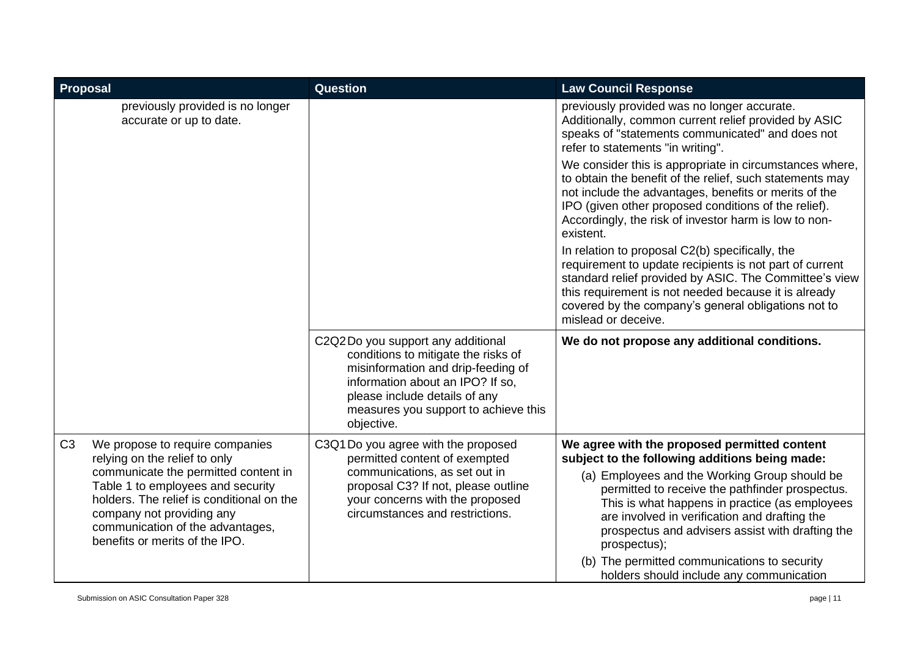| Proposal       |                                                                                                                                                                                                                                                                                               | <b>Question</b>                                                                                                                                                                                                                           | <b>Law Council Response</b>                                                                                                                                                                                                                                                                                                                                                                                                                                           |
|----------------|-----------------------------------------------------------------------------------------------------------------------------------------------------------------------------------------------------------------------------------------------------------------------------------------------|-------------------------------------------------------------------------------------------------------------------------------------------------------------------------------------------------------------------------------------------|-----------------------------------------------------------------------------------------------------------------------------------------------------------------------------------------------------------------------------------------------------------------------------------------------------------------------------------------------------------------------------------------------------------------------------------------------------------------------|
|                | previously provided is no longer<br>accurate or up to date.                                                                                                                                                                                                                                   |                                                                                                                                                                                                                                           | previously provided was no longer accurate.<br>Additionally, common current relief provided by ASIC<br>speaks of "statements communicated" and does not<br>refer to statements "in writing".                                                                                                                                                                                                                                                                          |
|                |                                                                                                                                                                                                                                                                                               |                                                                                                                                                                                                                                           | We consider this is appropriate in circumstances where,<br>to obtain the benefit of the relief, such statements may<br>not include the advantages, benefits or merits of the<br>IPO (given other proposed conditions of the relief).<br>Accordingly, the risk of investor harm is low to non-<br>existent.                                                                                                                                                            |
|                |                                                                                                                                                                                                                                                                                               |                                                                                                                                                                                                                                           | In relation to proposal C2(b) specifically, the<br>requirement to update recipients is not part of current<br>standard relief provided by ASIC. The Committee's view<br>this requirement is not needed because it is already<br>covered by the company's general obligations not to<br>mislead or deceive.                                                                                                                                                            |
|                |                                                                                                                                                                                                                                                                                               | C2Q2Do you support any additional<br>conditions to mitigate the risks of<br>misinformation and drip-feeding of<br>information about an IPO? If so,<br>please include details of any<br>measures you support to achieve this<br>objective. | We do not propose any additional conditions.                                                                                                                                                                                                                                                                                                                                                                                                                          |
| C <sub>3</sub> | We propose to require companies<br>relying on the relief to only<br>communicate the permitted content in<br>Table 1 to employees and security<br>holders. The relief is conditional on the<br>company not providing any<br>communication of the advantages,<br>benefits or merits of the IPO. | C3Q1 Do you agree with the proposed<br>permitted content of exempted<br>communications, as set out in<br>proposal C3? If not, please outline<br>your concerns with the proposed<br>circumstances and restrictions.                        | We agree with the proposed permitted content<br>subject to the following additions being made:<br>(a) Employees and the Working Group should be<br>permitted to receive the pathfinder prospectus.<br>This is what happens in practice (as employees<br>are involved in verification and drafting the<br>prospectus and advisers assist with drafting the<br>prospectus);<br>(b) The permitted communications to security<br>holders should include any communication |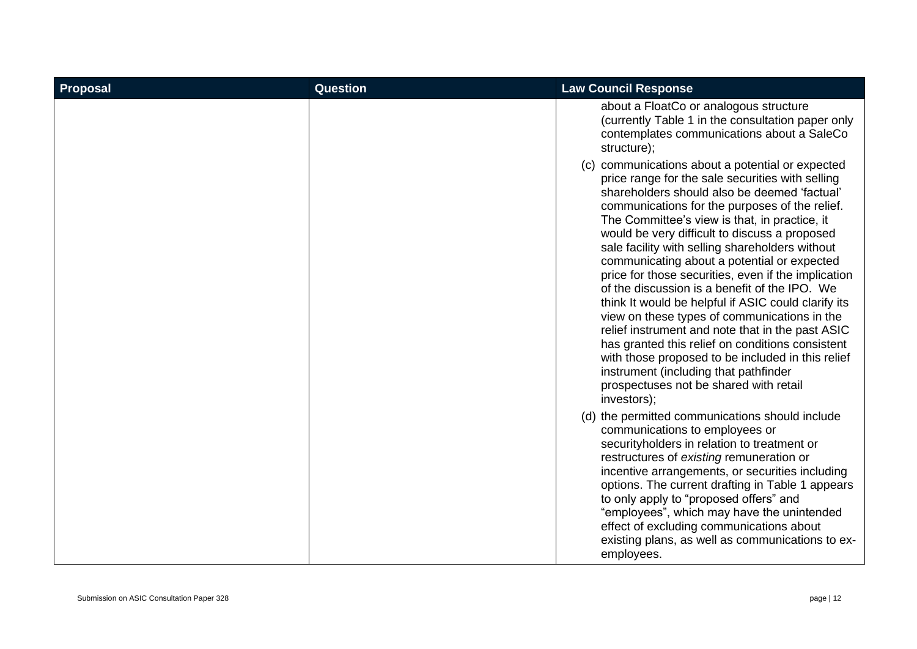| Proposal | <b>Question</b> | <b>Law Council Response</b>                                                                                                                                                                                                                                                                                                                                                                                                                                                                                                                                                                                                                                                                                                                                                                                                                                                                 |
|----------|-----------------|---------------------------------------------------------------------------------------------------------------------------------------------------------------------------------------------------------------------------------------------------------------------------------------------------------------------------------------------------------------------------------------------------------------------------------------------------------------------------------------------------------------------------------------------------------------------------------------------------------------------------------------------------------------------------------------------------------------------------------------------------------------------------------------------------------------------------------------------------------------------------------------------|
|          |                 | about a FloatCo or analogous structure<br>(currently Table 1 in the consultation paper only<br>contemplates communications about a SaleCo<br>structure);                                                                                                                                                                                                                                                                                                                                                                                                                                                                                                                                                                                                                                                                                                                                    |
|          |                 | communications about a potential or expected<br>(C)<br>price range for the sale securities with selling<br>shareholders should also be deemed 'factual'<br>communications for the purposes of the relief.<br>The Committee's view is that, in practice, it<br>would be very difficult to discuss a proposed<br>sale facility with selling shareholders without<br>communicating about a potential or expected<br>price for those securities, even if the implication<br>of the discussion is a benefit of the IPO. We<br>think It would be helpful if ASIC could clarify its<br>view on these types of communications in the<br>relief instrument and note that in the past ASIC<br>has granted this relief on conditions consistent<br>with those proposed to be included in this relief<br>instrument (including that pathfinder<br>prospectuses not be shared with retail<br>investors); |
|          |                 | (d) the permitted communications should include<br>communications to employees or<br>securityholders in relation to treatment or<br>restructures of existing remuneration or<br>incentive arrangements, or securities including<br>options. The current drafting in Table 1 appears<br>to only apply to "proposed offers" and<br>"employees", which may have the unintended<br>effect of excluding communications about<br>existing plans, as well as communications to ex-<br>employees.                                                                                                                                                                                                                                                                                                                                                                                                   |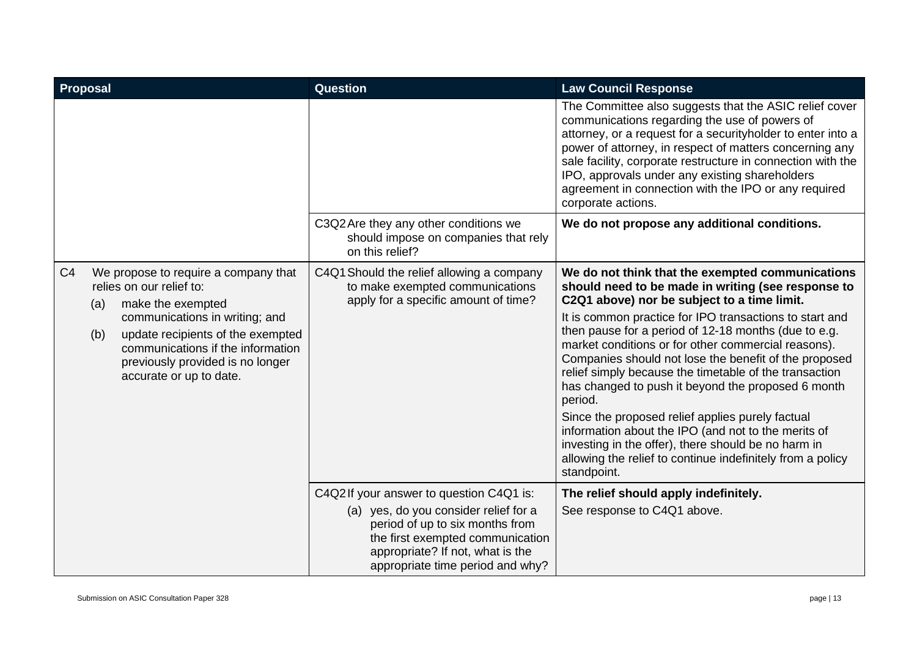| Proposal       |     |                                                                                                                                                                         | <b>Question</b>                                                                                                                                                                                                                 | <b>Law Council Response</b>                                                                                                                                                                                                                                                                                                                                                                                                                                                                                                                                                                               |
|----------------|-----|-------------------------------------------------------------------------------------------------------------------------------------------------------------------------|---------------------------------------------------------------------------------------------------------------------------------------------------------------------------------------------------------------------------------|-----------------------------------------------------------------------------------------------------------------------------------------------------------------------------------------------------------------------------------------------------------------------------------------------------------------------------------------------------------------------------------------------------------------------------------------------------------------------------------------------------------------------------------------------------------------------------------------------------------|
|                |     |                                                                                                                                                                         |                                                                                                                                                                                                                                 | The Committee also suggests that the ASIC relief cover<br>communications regarding the use of powers of<br>attorney, or a request for a securityholder to enter into a<br>power of attorney, in respect of matters concerning any<br>sale facility, corporate restructure in connection with the<br>IPO, approvals under any existing shareholders<br>agreement in connection with the IPO or any required<br>corporate actions.                                                                                                                                                                          |
|                |     |                                                                                                                                                                         | C3Q2 Are they any other conditions we<br>should impose on companies that rely<br>on this relief?                                                                                                                                | We do not propose any additional conditions.                                                                                                                                                                                                                                                                                                                                                                                                                                                                                                                                                              |
| C <sub>4</sub> | (a) | We propose to require a company that<br>relies on our relief to:<br>make the exempted                                                                                   | C4Q1 Should the relief allowing a company<br>to make exempted communications<br>apply for a specific amount of time?                                                                                                            | We do not think that the exempted communications<br>should need to be made in writing (see response to<br>C2Q1 above) nor be subject to a time limit.                                                                                                                                                                                                                                                                                                                                                                                                                                                     |
|                | (b) | communications in writing; and<br>update recipients of the exempted<br>communications if the information<br>previously provided is no longer<br>accurate or up to date. |                                                                                                                                                                                                                                 | It is common practice for IPO transactions to start and<br>then pause for a period of 12-18 months (due to e.g.<br>market conditions or for other commercial reasons).<br>Companies should not lose the benefit of the proposed<br>relief simply because the timetable of the transaction<br>has changed to push it beyond the proposed 6 month<br>period.<br>Since the proposed relief applies purely factual<br>information about the IPO (and not to the merits of<br>investing in the offer), there should be no harm in<br>allowing the relief to continue indefinitely from a policy<br>standpoint. |
|                |     |                                                                                                                                                                         | C4Q2If your answer to question C4Q1 is:<br>(a) yes, do you consider relief for a<br>period of up to six months from<br>the first exempted communication<br>appropriate? If not, what is the<br>appropriate time period and why? | The relief should apply indefinitely.<br>See response to C4Q1 above.                                                                                                                                                                                                                                                                                                                                                                                                                                                                                                                                      |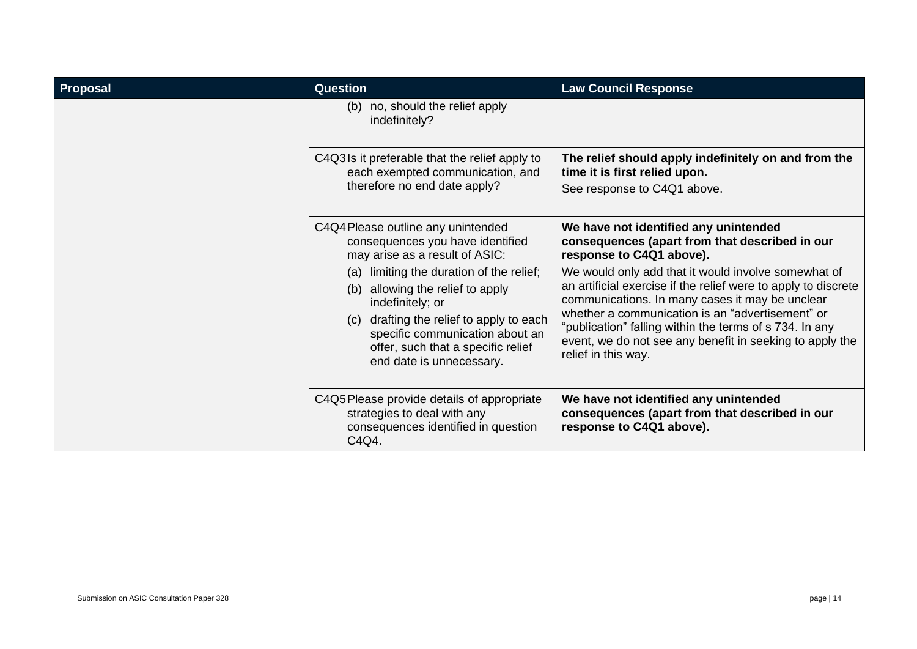| <b>Proposal</b> | <b>Question</b>                                                                                                                                                                                                                                         | <b>Law Council Response</b>                                                                                                                                                                                                                                                                                                                                                |
|-----------------|---------------------------------------------------------------------------------------------------------------------------------------------------------------------------------------------------------------------------------------------------------|----------------------------------------------------------------------------------------------------------------------------------------------------------------------------------------------------------------------------------------------------------------------------------------------------------------------------------------------------------------------------|
|                 | no, should the relief apply<br>(b)<br>indefinitely?                                                                                                                                                                                                     |                                                                                                                                                                                                                                                                                                                                                                            |
|                 | C4Q3Is it preferable that the relief apply to<br>each exempted communication, and<br>therefore no end date apply?                                                                                                                                       | The relief should apply indefinitely on and from the<br>time it is first relied upon.<br>See response to C4Q1 above.                                                                                                                                                                                                                                                       |
|                 | C4Q4 Please outline any unintended<br>consequences you have identified<br>may arise as a result of ASIC:                                                                                                                                                | We have not identified any unintended<br>consequences (apart from that described in our<br>response to C4Q1 above).                                                                                                                                                                                                                                                        |
|                 | limiting the duration of the relief;<br>(a)<br>allowing the relief to apply<br>(b)<br>indefinitely; or<br>(c) drafting the relief to apply to each<br>specific communication about an<br>offer, such that a specific relief<br>end date is unnecessary. | We would only add that it would involve somewhat of<br>an artificial exercise if the relief were to apply to discrete<br>communications. In many cases it may be unclear<br>whether a communication is an "advertisement" or<br>"publication" falling within the terms of s 734. In any<br>event, we do not see any benefit in seeking to apply the<br>relief in this way. |
|                 | C4Q5 Please provide details of appropriate<br>strategies to deal with any<br>consequences identified in question<br>C4Q4.                                                                                                                               | We have not identified any unintended<br>consequences (apart from that described in our<br>response to C4Q1 above).                                                                                                                                                                                                                                                        |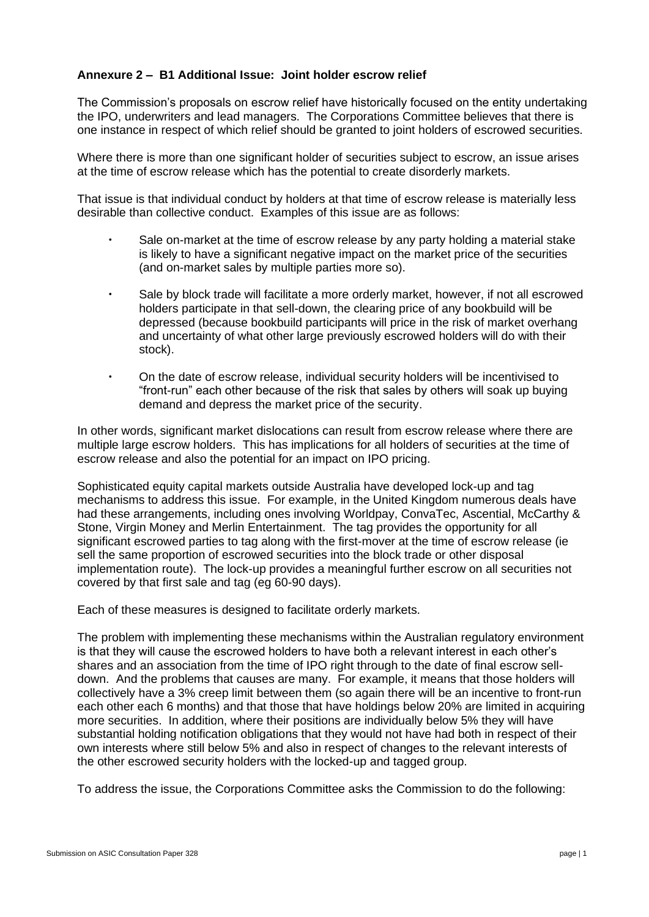## **Annexure 2 – B1 Additional Issue: Joint holder escrow relief**

The Commission's proposals on escrow relief have historically focused on the entity undertaking the IPO, underwriters and lead managers. The Corporations Committee believes that there is one instance in respect of which relief should be granted to joint holders of escrowed securities.

Where there is more than one significant holder of securities subject to escrow, an issue arises at the time of escrow release which has the potential to create disorderly markets.

That issue is that individual conduct by holders at that time of escrow release is materially less desirable than collective conduct. Examples of this issue are as follows:

- Sale on-market at the time of escrow release by any party holding a material stake is likely to have a significant negative impact on the market price of the securities (and on-market sales by multiple parties more so).
- Sale by block trade will facilitate a more orderly market, however, if not all escrowed holders participate in that sell-down, the clearing price of any bookbuild will be depressed (because bookbuild participants will price in the risk of market overhang and uncertainty of what other large previously escrowed holders will do with their stock).
- On the date of escrow release, individual security holders will be incentivised to "front-run" each other because of the risk that sales by others will soak up buying demand and depress the market price of the security.

In other words, significant market dislocations can result from escrow release where there are multiple large escrow holders. This has implications for all holders of securities at the time of escrow release and also the potential for an impact on IPO pricing.

Sophisticated equity capital markets outside Australia have developed lock-up and tag mechanisms to address this issue. For example, in the United Kingdom numerous deals have had these arrangements, including ones involving Worldpay, ConvaTec, Ascential, McCarthy & Stone, Virgin Money and Merlin Entertainment. The tag provides the opportunity for all significant escrowed parties to tag along with the first-mover at the time of escrow release (ie sell the same proportion of escrowed securities into the block trade or other disposal implementation route). The lock-up provides a meaningful further escrow on all securities not covered by that first sale and tag (eg 60-90 days).

Each of these measures is designed to facilitate orderly markets.

The problem with implementing these mechanisms within the Australian regulatory environment is that they will cause the escrowed holders to have both a relevant interest in each other's shares and an association from the time of IPO right through to the date of final escrow selldown. And the problems that causes are many. For example, it means that those holders will collectively have a 3% creep limit between them (so again there will be an incentive to front-run each other each 6 months) and that those that have holdings below 20% are limited in acquiring more securities. In addition, where their positions are individually below 5% they will have substantial holding notification obligations that they would not have had both in respect of their own interests where still below 5% and also in respect of changes to the relevant interests of the other escrowed security holders with the locked-up and tagged group.

To address the issue, the Corporations Committee asks the Commission to do the following: